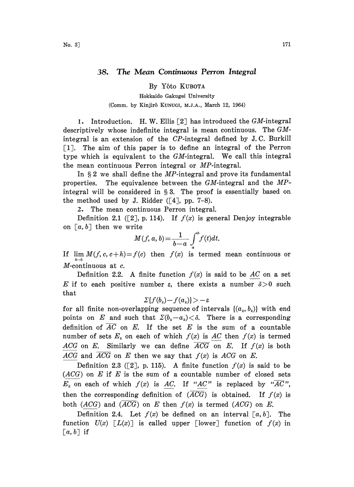## 38. The Mean Continuous Perron Integral

By Y6to KUBOTA

Hokkaido Gakugei University (Comm. by Kinjirô KUNUGI, M.J.A., March 12, 1964)

1. Introduction. H. W. Ellis  $[2]$  has introduced the GM-integral descriptively whose indefinite integral is mean continuous. The GMintegral is an extension of the CP-integral defined by J.C. BurkilI [1]. The aim of this paper is to define an integral of the Perron type which is equivalent to the GM-integral. We call this integral the mean continuous Perron integral or MP-integral.

In  $\S 2$  we shall define the *MP*-integral and prove its fundamental. properties. The equivalence between the  $GM$ -integral and the  $MP$ integral will be considered in  $\S 3$ . The proof is essentially based on the method used by J. Ridder  $([4], pp. 7-8)$ .

2. The mean continuous Perron integral.

Definition 2.1 ([2], p. 114). If  $f(x)$  is general Denjoy integrable on  $[a, b]$  then we write

$$
M(f, a, b) = \frac{1}{b-a} \int_{a}^{b} f(t)dt.
$$

If  $\lim M(f, c, c+h) = f(c)$  then  $f(x)$  is termed mean continuous or  $h\rightarrow 0$  $M$ -continuous at  $c$ .

Definition 2.2. A finite function  $f(x)$  is said to be AC on a set E if to each positive number  $\varepsilon$ , there exists a number  $\delta > 0$  such that

 $\sum \{f(b_i)-f(a_i)\} > -\varepsilon$ 

for all finite non-overlapping sequence of intervals  $\{(a_{_k},b_{_k})\}$  with end points on E and such that  $\Sigma(b_k-a_k) < \delta$ . There is a corresponding definition of  $\overline{AC}$  on E. If the set E is the sum of a countable number of sets  $E_k$  on each of which  $f(x)$  is AC then  $f(x)$  is termed ACG on E. Similarly we can define  $\overline{ACG}$  on E. If  $f(x)$  is both ACG and ACG on E then we say that  $f(x)$  is ACG on E.

Definition 2.3 ([2], p. 115). A finite function  $f(x)$  is said to be  $(ACG)$  on E if E is the sum of a countable number of closed sets  $E_k$  on each of which  $f(x)$  is AC. If "AC" is replaced by " $\overline{AC}$ ", then the corresponding definition of  $(ACG)$  is obtained. If  $f(x)$  is both  $(ACG)$  and  $(ACG)$  on E then  $f(x)$  is termed  $(ACG)$  on E.

Definition 2.4. Let  $f(x)$  be defined on an interval  $[a, b]$ . The function  $U(x)$   $\lceil L(x) \rceil$  is called upper  $\lceil \text{lower} \rceil$  function of  $f(x)$  in  $[a, b]$  if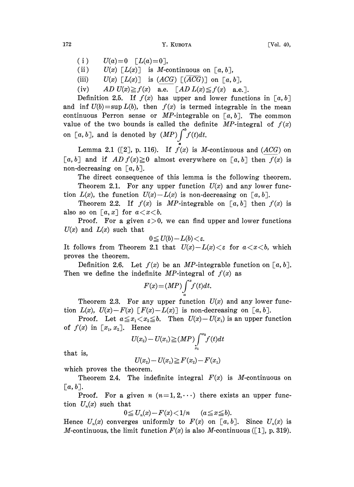$(i)$  $U(a)=0$   $\lceil L(a)=0 \rceil$ ,

(ii)  $U(x)$   $[L(x)]$  is M-continuous on  $[a, b]$ ,

- (iii)  $U(x) [L(x)]$  is  $(ACG) [(\overline{ACG})]$  on  $[a, b],$
- (iv) AD  $U(x) \ge f(x)$  a.e.  $[AD L(x) \le f(x)$  a.e.].

Definition 2.5. If  $f(x)$  has upper and lower functions in  $[a, b]$ and inf  $U(b) = \sup L(b)$ , then  $f(x)$  is termed integrable in the mean continuous Perron sense or MP-integrable on  $[a, b]$ . The common value of the two bounds is called the definite MP-integral of  $f(x)$ on [a, b], and is denoted by  $(MP) \int_0^b f(t)dt$ .

Lemma 2.1 ([2], p. 116). If  $f(x)$  is M-continuous and (ACG) on [a, b] and if  $AD f(x) \ge 0$  almost everywhere on [a, b] then  $f(x)$  is non-decreasing on  $[a, b]$ .

The direct consequence of this lemma is the following theorem. Theorem 2.1. For any upper function  $U(x)$  and any lower function  $L(x)$ , the function  $U(x) - L(x)$  is non-decreasing on [a, b].

Theorem 2.2. If  $f(x)$  is MP-integrable on [a, b] then  $f(x)$  is also so on  $[a, x]$  for  $a < x < b$ .

Proof. For a given  $\varepsilon > 0$ , we can find upper and lower functions  $U(x)$  and  $L(x)$  such that

 $0 \leq U(b) - L(b) < \varepsilon.$ 

It follows from Theorem 2.1 that  $U(x)-L(x)<\varepsilon$  for  $a < x < b$ , which proves the theorem.

Definition 2.6. Let  $f(x)$  be an *MP*-integrable function on [a, b]. Then we define the indefinite MP-integral of  $f(x)$  as

$$
F(x) = (MP) \int_{a}^{x} f(t) dt.
$$

Theorem 2.3. For any upper function  $U(x)$  and any lower function  $L(x)$ ,  $U(x) - F(x) [F(x) - L(x)]$  is non-decreasing on [a, b].

Proof. Let  $a \leq x_1 < x_2 \leq b$ . Then  $U(x) - U(x_1)$  is an upper function of  $f(x)$  in  $[x_1, x_2]$ . Hence

$$
U(x_2) - U(x_1) \ge (MP) \int_{x_1}^{x_2} f(t) dt
$$

that is,

$$
U(x_2) - U(x_1) \geq F(x_2) - F(x_1)
$$

which proves the theorem.

Theorem 2.4. The indefinite integral  $F(x)$  is M-continuous on  $[a, b].$ 

Proof. For a given  $n (n=1, 2, \cdots)$  there exists an upper function  $U_n(x)$  such that

> $0 \le U_n(x) - F(x) < 1/n$  $(a \le x \le b).$

Hence  $U_n(x)$  converges uniformly to  $F(x)$  on  $[a, b]$ . Since  $U_n(x)$  is *M*-continuous, the limit function  $F(x)$  is also *M*-continuous ([1], p. 319).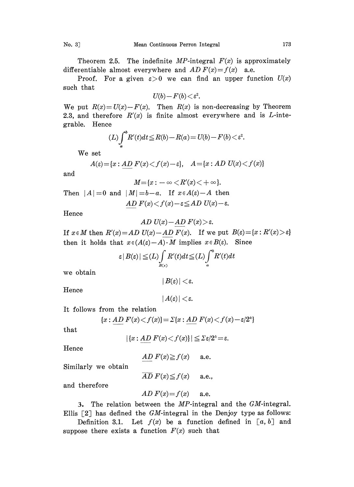Theorem 2.5. The indefinite  $MP$ -integral  $F(x)$  is approximately differentiable almost everywhere and  $AD F(x) = f(x)$  a.e.

Proof. For a given  $\varepsilon > 0$  we can find an upper function  $U(x)$ such that

$$
U(b) - F(b) < \varepsilon^2.
$$

We put  $R(x) = U(x) - F(x)$ . Then  $R(x)$  is non-decreasing by Theorem 2.3, and therefore  $R'(x)$  is finite almost everywhere and is  $L$ -integrable. Hence

$$
(L)\int_{a}^{b} R'(t)dt \leq R(b) - R(a) = U(b) - F(b) < \varepsilon^2.
$$

We set

$$
A(\varepsilon) = \{x : \underline{AD} \ F(x) < f(x) - \varepsilon\}, \quad A = \{x : AD \ U(x) < f(x)\}
$$

and

$$
M{=}\{x:-\infty
$$

Then  $|A|=0$  and  $|M|=b-a$ . If  $x \in A(\varepsilon)-A$  then AD  $F(x) < f(x) - \varepsilon \le AD$   $U(x) - \varepsilon$ .

Hence

$$
AD U(x) - AD F(x) > \varepsilon
$$

If  $x \in M$  then  $R'(x) = AD U(x) - AD F(x)$ . If we put  $B(\varepsilon) = \{x : R'(x) > \varepsilon\}$ then it holds that  $x \in (A(\varepsilon)-A) \cdot M$  implies  $x \in B(\varepsilon)$ . Since

$$
\varepsilon |B(\varepsilon)| \leq (L) \int_{B(\varepsilon)} R'(t) dt \leq (L) \int_a^b R'(t) dt
$$

we obtain

$$
|\,B(\varepsilon)|<\!\varepsilon.
$$

Hence

$$
|A(\varepsilon)| < \varepsilon.
$$

It follows from the relation

$$
\{x:\underline{AD}\;F(x) < f(x)\} = \Sigma\{x:\underline{AD}\;F(x) < f(x) - \varepsilon/2^k\}
$$

that

 $|\{x: AD F(x) < f(x)\}| \le \sum \varepsilon/2^k = \varepsilon.$ 

Hence

$$
\underline{AD} F(x) \ge f(x) \quad \text{a.e.}
$$

Similarly we obtain

$$
\overline{AD} F(x) \leq f(x) \quad \text{a.e.,}
$$

and therefore

AD 
$$
F(x)=f(x)
$$
 a.e.

3. The relation between the MP-integral and the GM-integral.

Ellis  $\lceil 2 \rceil$  has defined the GM-integral in the Denjoy type as follows: Definition 3.1. Let  $f(x)$  be a function defined in [a, b] and suppose there exists a function  $F(x)$  such that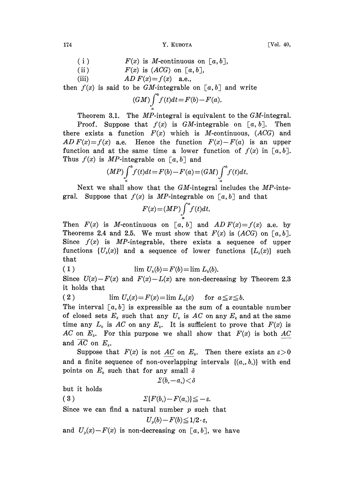174 **Y. KUBOTA I. MUROTA** [Vol. 40,

- $(i)$  $F(x)$  is M-continuous on  $[a, b]$ ,
- (ii)  $F(x)$  is  $(ACG)$  on  $[a, b]$ ,
- (iii)  $AD F(x)=f(x)$  a.e.,

then  $f(x)$  is said to be GM-integrable on  $[a, b]$  and write

$$
(GM)\int_{a}^{b}f(t)dt = F(b) - F(a).
$$

Theorem 3.1. The *MP*-integral is equivalent to the *GM*-integral.

Proof. Suppose that  $f(x)$  is GM-integrable on [a, b]. Then there exists a function  $F(x)$  which is M-continuous,  $(ACG)$  and AD  $F(x)=f(x)$  a.e. Hence the function  $F(x)-F(a)$  is an upper function and at the same time a lower function of  $f(x)$  in [a, b]. Thus  $f(x)$  is MP-integrable on  $[a, b]$  and

$$
(MP)\int_{a}^{b} f(t)dt = F(b) - F(a) = (GM)\int_{a}^{b} f(t)dt.
$$

Next we shall show that the  $GM$ -integral includes the  $MP$ -integral. Suppose that  $f(x)$  is MP-integrable on [a, b] and that

$$
F(x) = (MP) \int_a^x f(t) dt.
$$

Then  $F(x)$  is M-continuous on [a, b] and  $AD F(x) = f(x)$  a.e. by Theorems 2.4 and 2.5. We must show that  $F(x)$  is  $(ACG)$  on  $[a, b]$ . Since  $f(x)$  is MP-integrable, there exists a sequence of upper functions  $\{U_k(x)\}\$  and a sequence of lower functions  $\{L_k(x)\}\$  such that

$$
(1) \qquad \qquad \lim U_k(b) = F(b) = \lim L_k(b).
$$

Since  $U(x) - F(x)$  and  $F(x) - L(x)$  are non-decreasing by Theorem 2.3 it holds that

( 2 ) lim  $U_k(x) = F(x) = \lim L_k(x)$  for  $a \le x \le b$ .

The interval  $[a, b]$  is expressible as the sum of a countable number of closed sets  $E_k$  such that any  $U_k$  is AC on any  $E_k$  and at the same time any  $L_k$  is AC on any  $E_k$ . It is sufficient to prove that  $F(x)$  is AC on  $E_k$ . For this purpose we shall show that  $F(x)$  is both AC and  $\overline{AC}$  on  $E_i$ .

Suppose that  $F(x)$  is not AC on  $E_k$ . Then there exists an  $\varepsilon > 0$ and a finite sequence of non-overlapping intervals  $\{(a_{\nu}, b_{\nu})\}$  with end points on  $E_k$  such that for any small  $\delta$ 

$$
\varSigma(b_\text{{\tiny P}}\!-\!a_\text{{\tiny P}})\!<\!\delta
$$

but it holds

(3)  $\Sigma\{F(b_\nu)-F(a_\nu)\}\leq -\varepsilon.$ 

Since we can find a natural number  $p$  such that

$$
U_p(b) - F(b) \leq 1/2 \cdot \varepsilon
$$

and  $U_{p}(x)-F(x)$  is non-decreasing on [a, b], we have